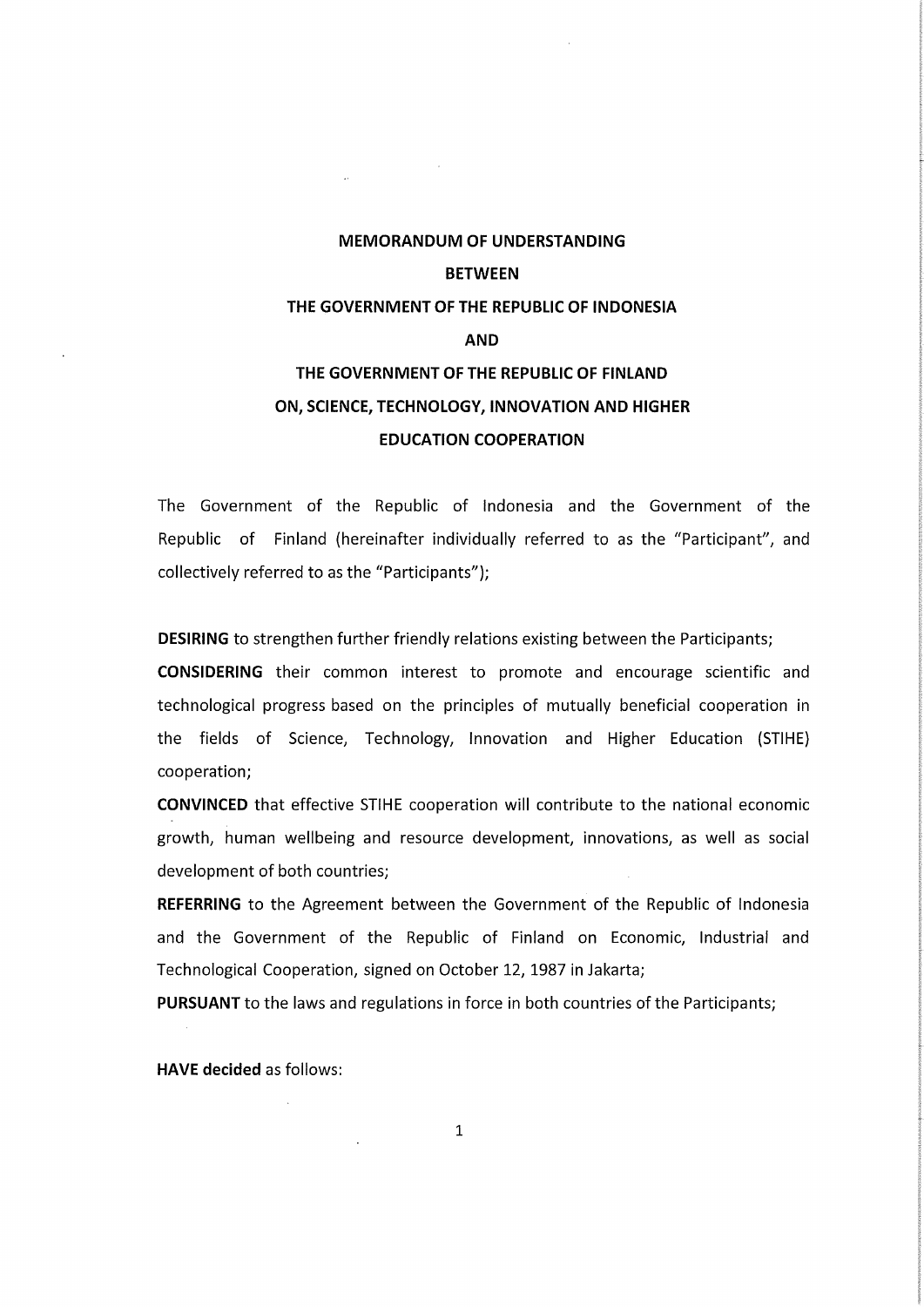# MEMORANDUM OF UNDERSTANDING BETWEEN THE GOVERNMENT OF THE REPUBLIC OF INDONESIA AND THE GOVERNMENT OF THE REPUBLIC OF FINLAND ON, SCIENCE, TECHNOLOGY, INNOVATION AND HIGHER EDUCATION COOPERATION

The Government of the Republic of Indonesia and the Government of the Republic of Finland (hereinafter individually referred to as the "Participant", and collectively referred to as the "Participants");

DESIRING to strengthen further friendly relations existing between the Participants;

CONSIDERING their common interest to promote and encourage scientific and technological progress based on the principles of mutually beneficial cooperation in the fields of Science, Technology, Innovation and Higher Education (STIHE) cooperation;

CONVINCED that effective STIHE cooperation will contribute to the national economic growth, human wellbeing and resource development, innovations, as weil as social development of both countries;

REFERRING to the Agreement between the Government of the Republic of Indonesia and the Government of the Republic of Finland on Economic, Industrial and Technological Cooperation, signed on October 12,1987 in Jakarta;

PURSUANT to the laws and regulations in force in both countries of the Participants;

HAVE decided as follows: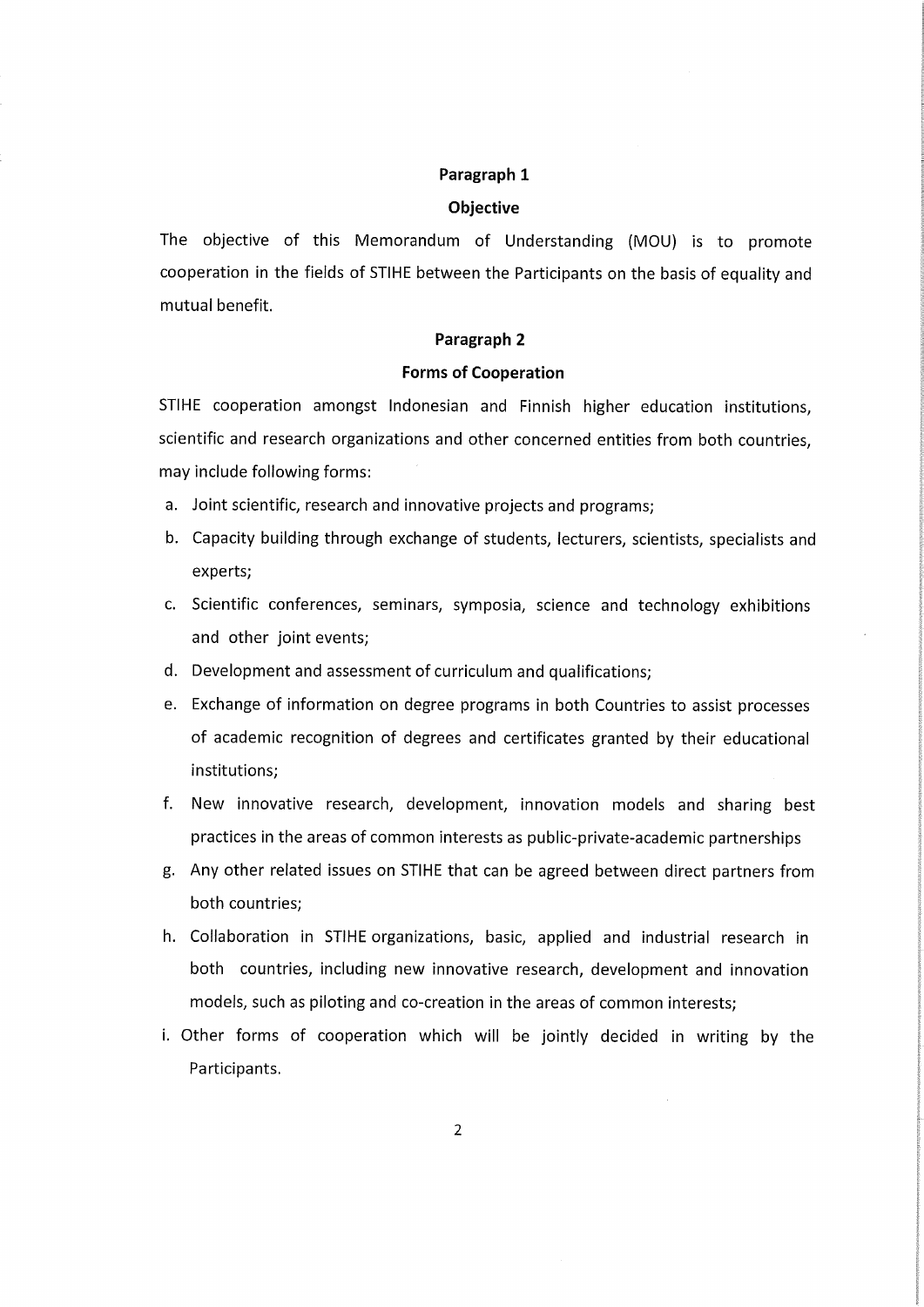## Paragraph l

#### Objective

The objective of this Memorandum of Understanding (MOU) is to promote cooperation in the fields of STIHE between the Participants on the basis of equality and mutual benefit.

#### Paragraph 2

#### Forms of Cooperation

STIHE cooperation amongst Indonesian and Finnish higher education institutions, scientific and research organizations and other concerned entities from both countries, may include following forms:

- a. Joint scientific, research and innovative projects and programs;
- b. Capacity building through exchange of students, lecturers, scientists, specialists and experts;
- c. Scientific conferences, seminars, symposia, science and technology exhibitions and other joint events;
- d. Development and assessment of curriculum and qualifications;
- e. Exchange of information on degree programs in both Countries to assist processes of academic recognition of degrees and certificates granted by their educational institutions;
- f. New innovative research, development, innovation models and sharing best practices in the areas of common interests as public-private-academic partnerships
- g. Any other related issues on STIHE that can be agreed between direct partners from both countries;
- h. Collaboration in STIHE organizations, basic, applied and industrial research in both countries, including new innovative research, development and innovation models, such as piloting and co-creation in the areas of common interests;
- i. Other forms of cooperation which will be jointly decided in writing by the Participants.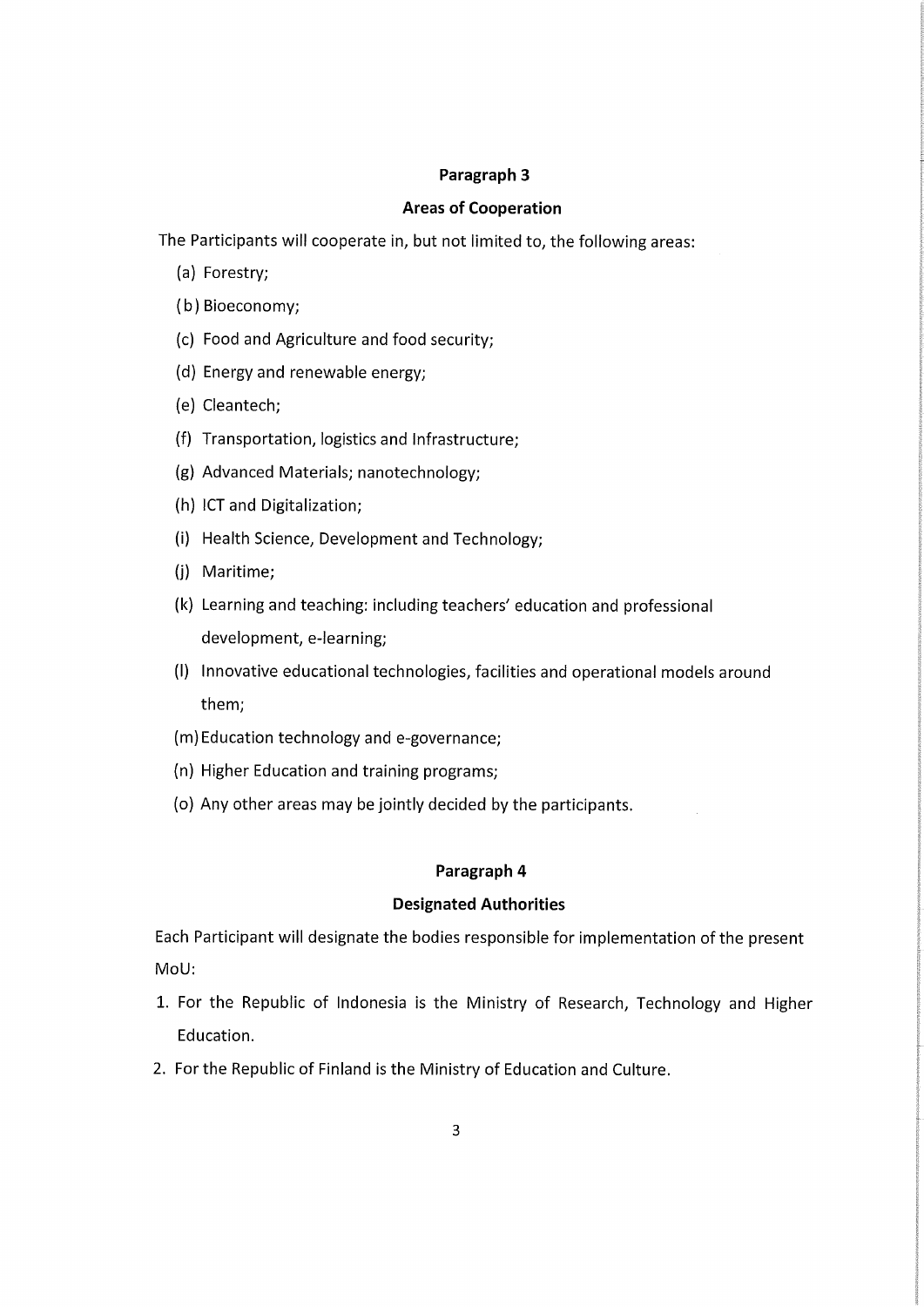## Paragraph 3

## Areas of Cooperation

The Participants will cooperate in, but not limited to, the following areas:

- (a) Forestry;
- (b) Bioeconomy;
- (c) Food and Agriculture and food Security;
- (d) Energyand renewable energy;
- (e) Cleantech;
- (f) Transportation, logistics and Infrastructure;
- (g) Advanced Materials; nanotechnology;
- (h) ICT and Digitalization;
- (i) Health Science, Development and Technology;
- (j) Maritime;
- (k) Learning and teaching: including teachers' education and professional development, e-learning;
- (l) Innovative educational technologies, facilities and operational models around them;
- (m)Education technology and e-governance;
- (n) Higher Education and training programs;
- (o) Any other areas may be jointly decided by the participants.

## Paragraph 4

### Designated Authorities

Each Participant will designate the bodies responsible for implementation of the present MoU:

- l. For the Republic of Indonesia is the Ministry of Research, Technology and Higher Education.
- 2. For the Republic of Finland is the Ministry of Education and Culture.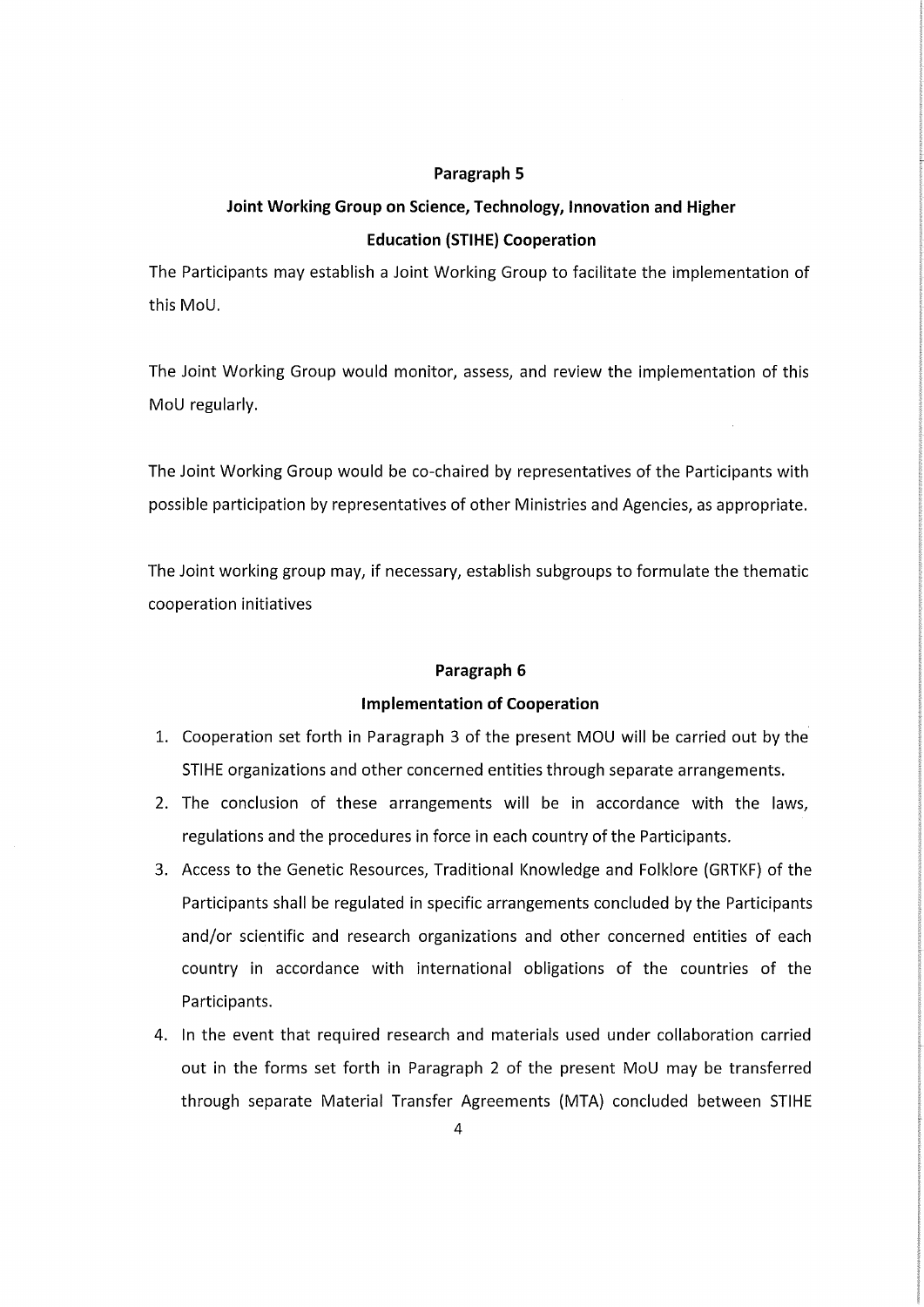#### Paragraph 5

## Joint Working Group on Science, Technology, Innovation and Higher Education (STIHE) Cooperation

The Participants may establish a Joint Working Group to facilitate the implementation of this MoU.

The Joint Working Group would monitor, assess, and review the implementation of this MoU regularly.

The Joint Working Group would be co-chaired by representatives of the Participants with possible participation by representatives of other Ministries and Agencies, as appropriate.

The Joint working group may, if necessary, establish subgroups to formulate the thematic cooperation initiatives

### Paragraph 6

## Implementation of Cooperation

- l. Cooperation set forth in Paragraph 3 of the present MOL) will be carried out by the STIHE organizations and other concerned entities through separate arrangements.
- 2. The conclusion of these arrangements will be in accordance with the laws, regulations and the procedures in force in each country of the Participants.
- 3. Access to the Genetic Resources, Traditional Knowledge and Folklore (GRTKF) of the Participants shall be regulated in specific arrangements concluded by the Participants and/or scientific and research organizations and other concerned entities of each country in accordance with international obligations of the countries of the Participants.
- 4. In the event that required research and materials used under collaboration carried out in the forms set forth in Paragraph 2 of the present MoU may be transferred through separate Materia! Transfer Agreements (MTA) concluded between STIHE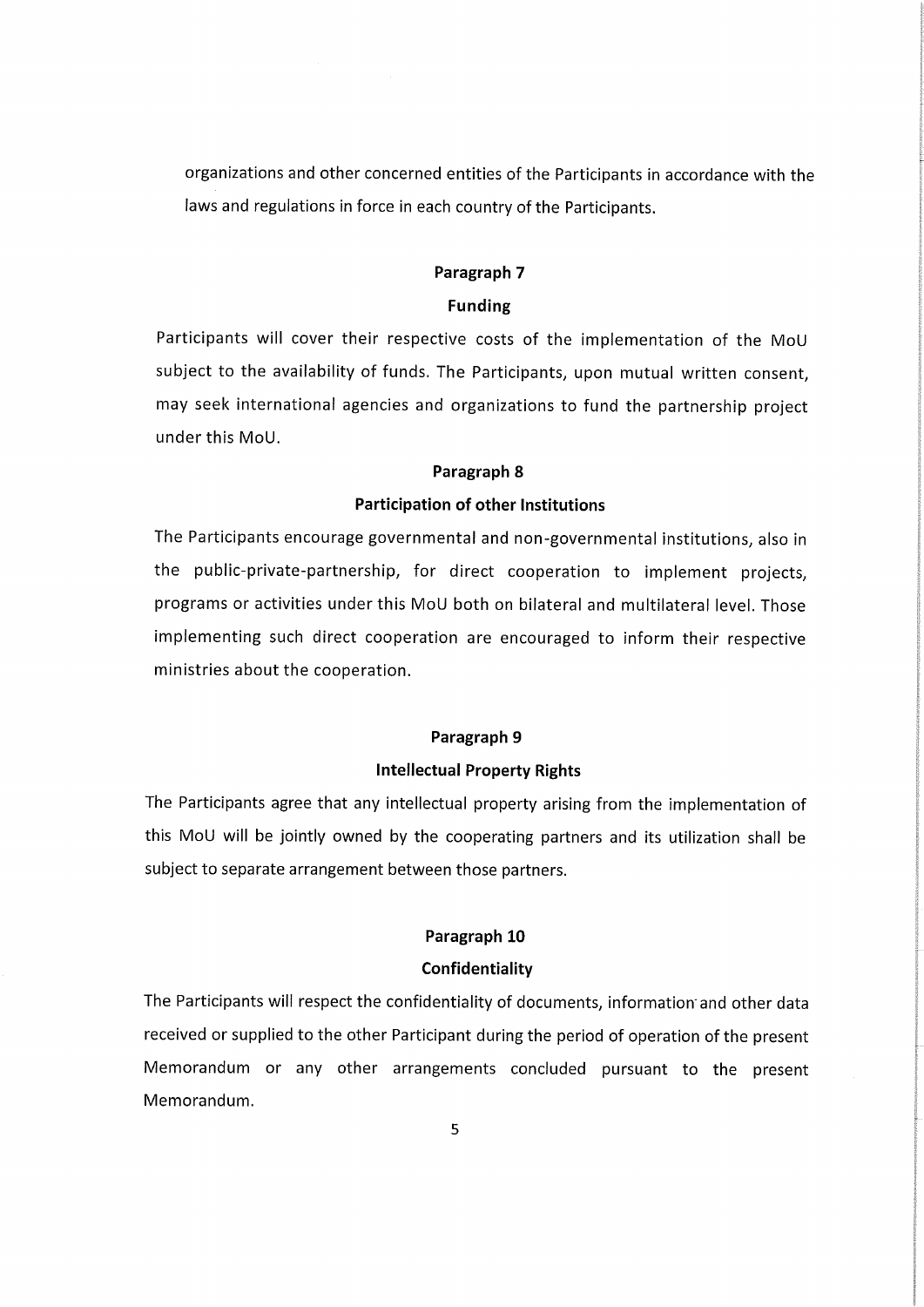organizations and other concerned entities of the Participants in accordance with the laws and regulations in force in each country of the Participants.

## Paragraph 7 Funding

Participants will cover their respective costs of the implementation of the MoU subject to the availability of funds. The Participants, upon mutual written consent, may seek international agencies and organizations to fund the partnership project under this MoU.

## Paragraph 8

## Participation of other Institutions

The Participants encourage governmental and non-governmental institutions, also in the public-private-partnership, for direct cooperation to implement projects, programs or activities underthis MoU both on bilateral and multilateral level. Those implementing such direct cooperation are encouraged to inform their respective ministries about the cooperation.

## Paragraph 9

### Intellectual Property Rights

The Participants agree that any intellectual property arising from the implementation of this MoU will be jointly owned by the cooperating partners and its utilization shall be subject to separate arrangement between those partners.

#### Paragraph 10

### Confidentiality

The Participants will respect the confidentiality of documents, information and other data received or supplied to the other Participant during the period of operation of the present Memorandum or any other arrangements concluded pursuant to the present Memorandum.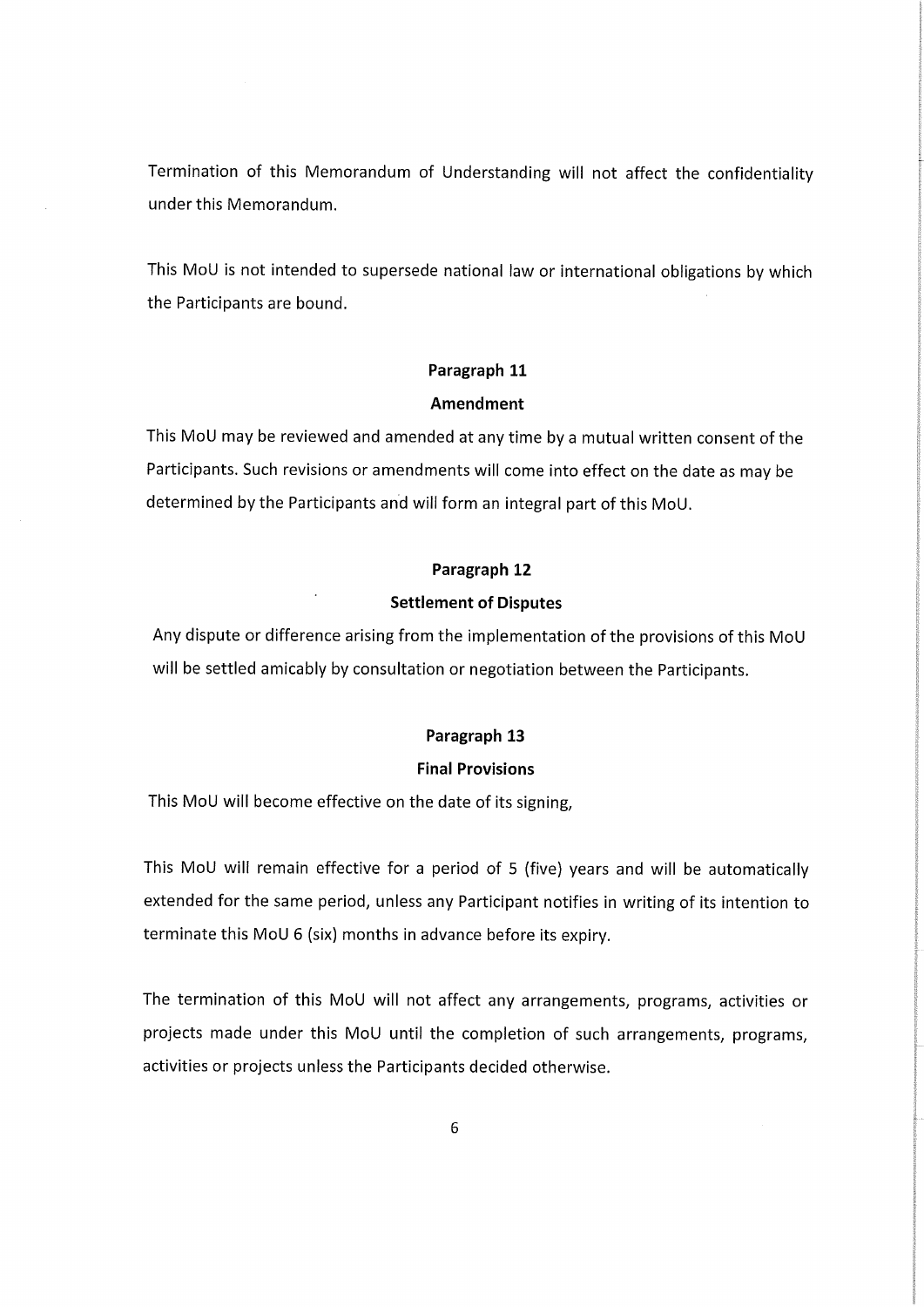Termination of this Memorandum of Understanding will not affect the confidentiality under this Memorandum.

This MoU is not intended to supersede national law or international obligations by which the Participants are bound.

## Paragraph 11

## Amendment

This MoU may be reviewed and amended at any time by a mutual written consent of the Participants. Such revisions or amendments will come into effect on the date as may be determined by the Participants and will form an integral part of this MoU.

## Paragraph 12

## Settlement of Disputes

Any dispute or difference arising from the implementation of the provisions of this MoU will be settled amicably by consultation or negotiation between the Participants.

## Paragraph 13

## Final Provisions

This MoU will become effective on the date of its signing,

This MoU will remain effective for a period of 5 (five) years and will be automatically extended for the same period, unless any Participant notifies in writing of its intention to terminate this MoU 6 (six) months in advance before its expiry.

The termination of this MoU will not affect any arrangements, programs, activities or projects made under this MoU until the completion of such arrangements, programs, activities or projects unless the Participants decided otherwise.